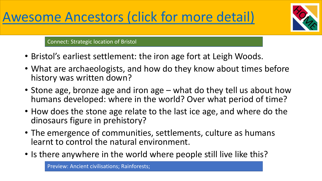

Connect: Strategic location of Bristol

- Bristol's earliest settlement: the iron age fort at Leigh Woods.
- What are archaeologists, and how do they know about times before history was written down?
- Stone age, bronze age and iron age what do they tell us about how humans developed: where in the world? Over what period of time?
- How does the stone age relate to the last ice age, and where do the dinosaurs figure in prehistory?
- The emergence of communities, settlements, culture as humans learnt to control the natural environment.
- Is there anywhere in the world where people still live like this?